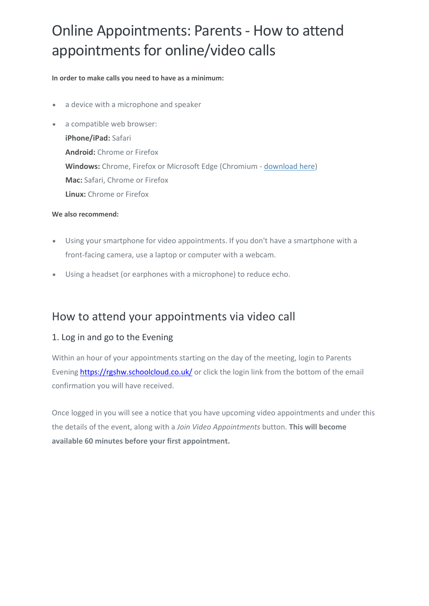# Online Appointments: Parents - How to attend appointments for online/video calls

**In order to make calls you need to have as a minimum:**

• a device with a microphone and speaker

• a compatible web browser: **iPhone/iPad:** Safari **Android:** Chrome or Firefox **Windows:** Chrome, Firefox or Microsoft Edge (Chromium - [download here\)](https://www.microsoft.com/en-us/edge) **Mac:** Safari, Chrome or Firefox **Linux:** Chrome or Firefox

#### **We also recommend:**

- Using your smartphone for video appointments. If you don't have a smartphone with a front-facing camera, use a laptop or computer with a webcam.
- Using a headset (or earphones with a microphone) to reduce echo.

## How to attend your appointments via video call

## 1. Log in and go to the Evening

Within an hour of your appointments starting on the day of the meeting, login to Parents Evening<https://rgshw.schoolcloud.co.uk/> or click the login link from the bottom of the email confirmation you will have received.

Once logged in you will see a notice that you have upcoming video appointments and under this the details of the event, along with a *Join Video Appointments* button. **This will become available 60 minutes before your first appointment.**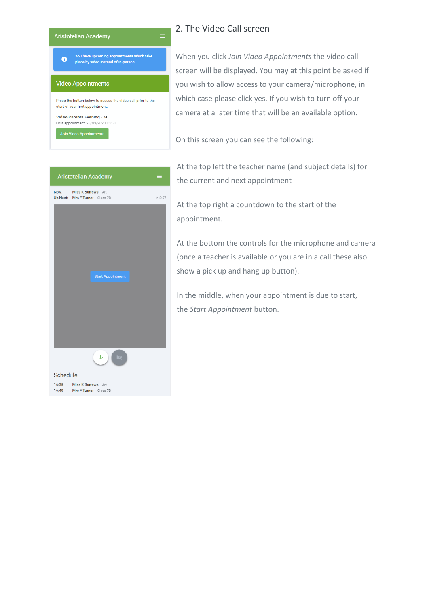#### Aristotelian Academy

You have upcoming appointments which take<br>place by video instead of in-person.  $\bullet$ 

#### **Video Appointments**

Press the button below to access the video call prior to the start of your first appointment. Video Parents Evening - M

| First appointment: 26/03/2020 15:50 |  |
|-------------------------------------|--|
| Join Video Appointments             |  |

## 2. The Video Call screen

When you click *Join Video Appointments* the video call screen will be displayed. You may at this point be asked if you wish to allow access to your camera/microphone, in which case please click yes. If you wish to turn off your camera at a later time that will be an available option.

On this screen you can see the following:

|                | Aristotelian Academy                                 | ≡       |  |
|----------------|------------------------------------------------------|---------|--|
| Now:           | Miss K Burrows Art<br>Up Next: Mrs F Turner Class 7D | in 3:57 |  |
|                | <b>Start Appointment</b>                             |         |  |
|                |                                                      |         |  |
|                | Ų.                                                   |         |  |
| Schedule       |                                                      |         |  |
| 16:35<br>16:40 | Miss K Burrows Art<br>Mrs F Turner Class 7D          |         |  |

At the top left the teacher name (and subject details) for the current and next appointment

At the top right a countdown to the start of the appointment.

At the bottom the controls for the microphone and camera (once a teacher is available or you are in a call these also show a pick up and hang up button).

In the middle, when your appointment is due to start, the *Start Appointment* button.